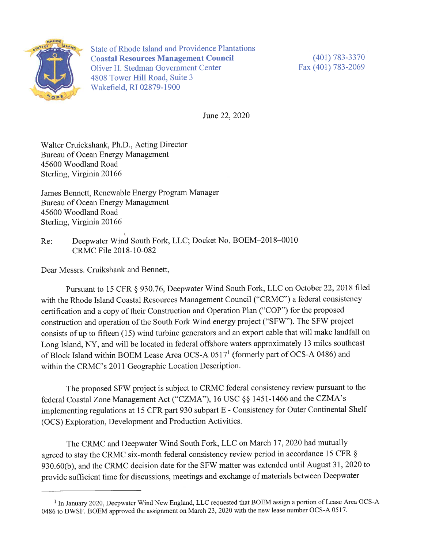

**State of Rhode Island and Providence Plantations Coastal Resources Management Council** Oliver H. Stedman Government Center 4808 Tower Hill Road, Suite 3 Wakefield, RI 02879-1900

 $(401) 783 - 3370$ Fax (401) 783-2069

June 22, 2020

Walter Cruickshank, Ph.D., Acting Director Bureau of Ocean Energy Management 45600 Woodland Road Sterling, Virginia 20166

James Bennett, Renewable Energy Program Manager Bureau of Ocean Energy Management 45600 Woodland Road Sterling, Virginia 20166

Deepwater Wind South Fork, LLC; Docket No. BOEM-2018-0010 Re: CRMC File 2018-10-082

Dear Messrs. Cruikshank and Bennett,

Pursuant to 15 CFR § 930.76, Deepwater Wind South Fork, LLC on October 22, 2018 filed with the Rhode Island Coastal Resources Management Council ("CRMC") a federal consistency certification and a copy of their Construction and Operation Plan ("COP") for the proposed construction and operation of the South Fork Wind energy project ("SFW"). The SFW project consists of up to fifteen (15) wind turbine generators and an export cable that will make landfall on Long Island, NY, and will be located in federal offshore waters approximately 13 miles southeast of Block Island within BOEM Lease Area OCS-A 0517<sup>1</sup> (formerly part of OCS-A 0486) and within the CRMC's 2011 Geographic Location Description.

The proposed SFW project is subject to CRMC federal consistency review pursuant to the federal Coastal Zone Management Act ("CZMA"), 16 USC §§ 1451-1466 and the CZMA's implementing regulations at 15 CFR part 930 subpart E - Consistency for Outer Continental Shelf (OCS) Exploration, Development and Production Activities.

The CRMC and Deepwater Wind South Fork, LLC on March 17, 2020 had mutually agreed to stay the CRMC six-month federal consistency review period in accordance 15 CFR § 930.60(b), and the CRMC decision date for the SFW matter was extended until August 31, 2020 to provide sufficient time for discussions, meetings and exchange of materials between Deepwater

<sup>&</sup>lt;sup>1</sup> In January 2020, Deepwater Wind New England, LLC requested that BOEM assign a portion of Lease Area OCS-A 0486 to DWSF. BOEM approved the assignment on March 23, 2020 with the new lease number OCS-A 0517.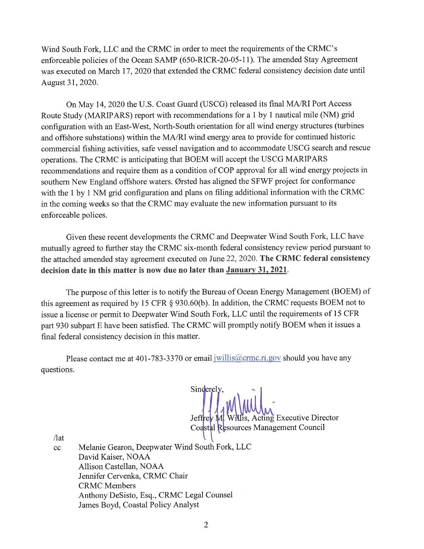Wind South Fork, LLC and the CRMC in order to meet the requirements of the CRMC's enforceable policies of the Ocean SAMP (650-RICR-20-05-11). The amended Stay Agreement was executed on March 17, 2020 that extended the CRMC federal consistency decision date until August 31, 2020.

On May 14, 2020 the U.S. Coast Guard (USCG) released its final MA/RI Port Access Route Study (MARIPARS) report with recommendations for a 1 by 1 nautical mile (NM) grid configuration with an East-West, North-South orientation for all wind energy structures (turbines and offshore substations) within the MA/RI wind energy area to provide for continued historic commercial fishing activities, safe vessel navigation and to accommodate USCG search and rescue operations. The CRMC is anticipating that BOEM will accept the USCG MARIPARS recommendations and require them as a condition of COP approval for all wind energy projects in southern New England offshore waters. Ørsted has aligned the SFWF project for conformance with the 1 by 1 NM grid configuration and plans on filing additional information with the CRMC in the coming weeks so that the CRMC may evaluate the new information pursuant to its enforceable polices.

Given these recent developments the CRMC and Deepwater Wind South Fork, LLC have mutually agreed to further stay the CRMC six-month federal consistency review period pursuant to the attached amended stay agreement executed on June 22, 2020. The CRMC federal consistency decision date in this matter is now due no later than January 31, 2021.

The purpose of this letter is to notify the Bureau of Ocean Energy Management (BOEM) of this agreement as required by 15 CFR § 930.60(b). In addition, the CRMC requests BOEM not to issue a license or permit to Deepwater Wind South Fork, LLC until the requirements of 15 CFR part 930 subpart E have been satisfied. The CRMC will promptly notify BOEM when it issues a final federal consistency decision in this matter.

Please contact me at 401-783-3370 or email jwillis@crmc.ri.gov should you have any questions.

Sinderely. cting Executive Director Jeffi Coastal Resources Management Council

 $\pi$  $cc$ 

Melanie Gearon, Deepwater Wind South Fork, LLC David Kaiser, NOAA Allison Castellan, NOAA Jennifer Cervenka, CRMC Chair **CRMC** Members Anthony DeSisto, Esq., CRMC Legal Counsel James Boyd, Coastal Policy Analyst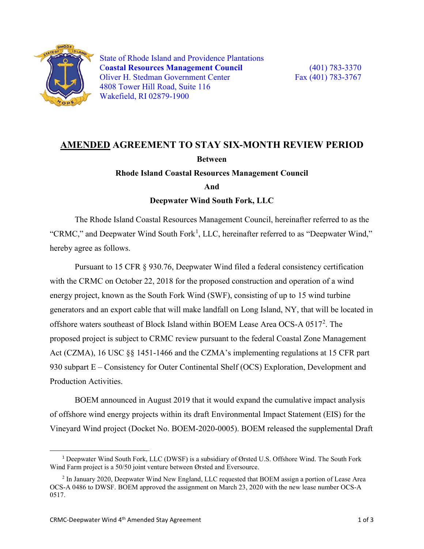

State of Rhode Island and Providence Plantations C**oastal Resources Management Council** (401) 783-3370 Oliver H. Stedman Government Center Fax (401) 783-3767 4808 Tower Hill Road, Suite 116 Wakefield, RI 02879-1900

## **AMENDED AGREEMENT TO STAY SIX-MONTH REVIEW PERIOD Between**

**Rhode Island Coastal Resources Management Council**

**And**

**Deepwater Wind South Fork, LLC**

The Rhode Island Coastal Resources Management Council, hereinafter referred to as the "CRMC," and Deepwater Wind South Fork<sup>[1](#page-2-0)</sup>, LLC, hereinafter referred to as "Deepwater Wind," hereby agree as follows.

Pursuant to 15 CFR § 930.76, Deepwater Wind filed a federal consistency certification with the CRMC on October 22, 2018 for the proposed construction and operation of a wind energy project, known as the South Fork Wind (SWF), consisting of up to 15 wind turbine generators and an export cable that will make landfall on Long Island, NY, that will be located in offshore waters southeast of Block Island within BOEM Lease Area OCS-A 0517<sup>[2](#page-2-1)</sup>. The proposed project is subject to CRMC review pursuant to the federal Coastal Zone Management Act (CZMA), 16 USC §§ 1451-1466 and the CZMA's implementing regulations at 15 CFR part 930 subpart E – Consistency for Outer Continental Shelf (OCS) Exploration, Development and Production Activities.

BOEM announced in August 2019 that it would expand the cumulative impact analysis of offshore wind energy projects within its draft Environmental Impact Statement (EIS) for the Vineyard Wind project (Docket No. BOEM-2020-0005). BOEM released the supplemental Draft

<span id="page-2-0"></span> <sup>1</sup> Deepwater Wind South Fork, LLC (DWSF) is a subsidiary of Ørsted U.S. Offshore Wind. The South Fork Wind Farm project is a 50/50 joint venture between Ørsted and Eversource.

<span id="page-2-1"></span><sup>2</sup> In January 2020, Deepwater Wind New England, LLC requested that BOEM assign a portion of Lease Area OCS-A 0486 to DWSF. BOEM approved the assignment on March 23, 2020 with the new lease number OCS-A 0517.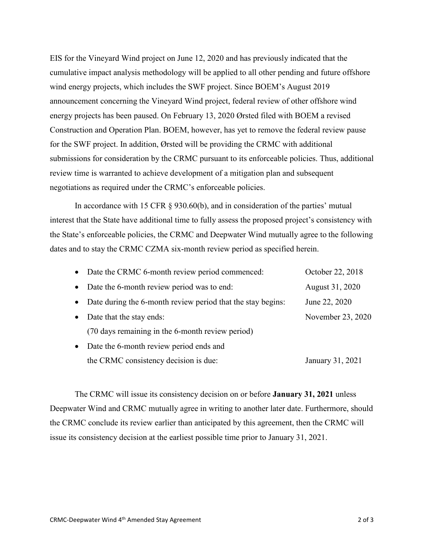EIS for the Vineyard Wind project on June 12, 2020 and has previously indicated that the cumulative impact analysis methodology will be applied to all other pending and future offshore wind energy projects, which includes the SWF project. Since BOEM's August 2019 announcement concerning the Vineyard Wind project, federal review of other offshore wind energy projects has been paused. On February 13, 2020 Ørsted filed with BOEM a revised Construction and Operation Plan. BOEM, however, has yet to remove the federal review pause for the SWF project. In addition, Ørsted will be providing the CRMC with additional submissions for consideration by the CRMC pursuant to its enforceable policies. Thus, additional review time is warranted to achieve development of a mitigation plan and subsequent negotiations as required under the CRMC's enforceable policies.

In accordance with 15 CFR § 930.60(b), and in consideration of the parties' mutual interest that the State have additional time to fully assess the proposed project's consistency with the State's enforceable policies, the CRMC and Deepwater Wind mutually agree to the following dates and to stay the CRMC CZMA six-month review period as specified herein.

| $\bullet$ | Date the CRMC 6-month review period commenced:              | October 22, 2018  |
|-----------|-------------------------------------------------------------|-------------------|
|           | Date the 6-month review period was to end:                  | August 31, 2020   |
|           | Date during the 6-month review period that the stay begins: | June 22, 2020     |
|           | Date that the stay ends:                                    | November 23, 2020 |
|           | (70 days remaining in the 6-month review period)            |                   |
| $\bullet$ | Date the 6-month review period ends and                     |                   |
|           | the CRMC consistency decision is due:                       | January 31, 2021  |

The CRMC will issue its consistency decision on or before **January 31, 2021** unless Deepwater Wind and CRMC mutually agree in writing to another later date. Furthermore, should the CRMC conclude its review earlier than anticipated by this agreement, then the CRMC will issue its consistency decision at the earliest possible time prior to January 31, 2021.